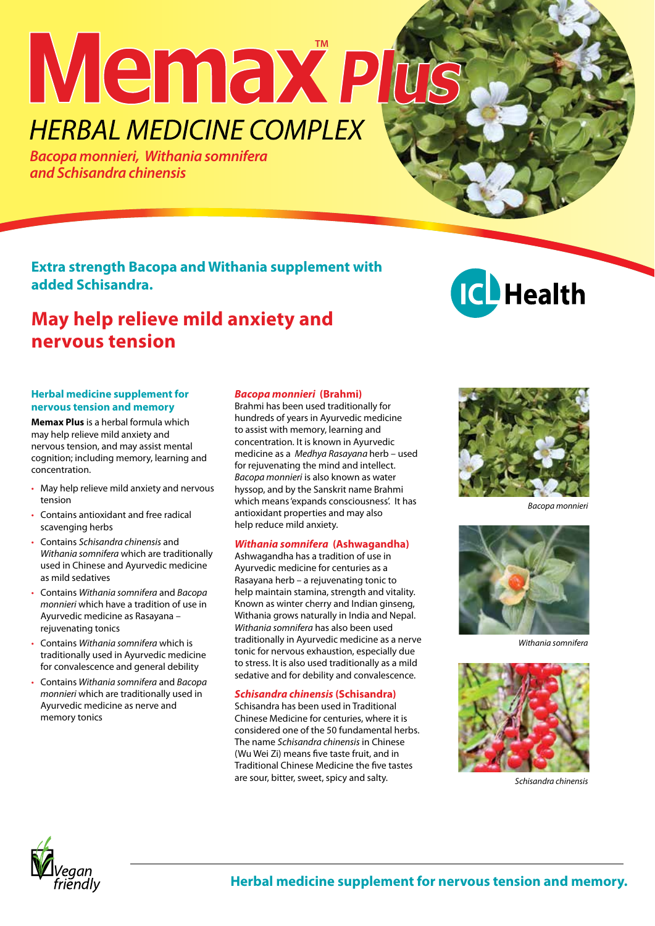# **Memax HERBAL MEDICINE COMPLEX**

*Bacopa monnieri, Withania somnifera and Schisandra chinensis*

**Extra strength Bacopa and Withania supplement with added Schisandra.** 

# **May help relieve mild anxiety and nervous tension**



## **Herbal medicine supplement for nervous tension and memory**

**Memax Plus** is a herbal formula which may help relieve mild anxiety and nervous tension, and may assist mental cognition; including memory, learning and concentration.

- May help relieve mild anxiety and nervous tension
- Contains antioxidant and free radical scavenging herbs
- Contains *Schisandra chinensis* and *Withania somnifera* which are traditionally used in Chinese and Ayurvedic medicine as mild sedatives
- Contains *Withania somnifera* and *Bacopa monnieri* which have a tradition of use in Ayurvedic medicine as Rasayana – rejuvenating tonics
- Contains *Withania somnifera* which is traditionally used in Ayurvedic medicine for convalescence and general debility
- Contains *Withania somnifera* and *Bacopa monnieri* which are traditionally used in Ayurvedic medicine as nerve and memory tonics

# *Bacopa monnieri* **(Brahmi)**

Brahmi has been used traditionally for hundreds of years in Ayurvedic medicine to assist with memory, learning and concentration. It is known in Ayurvedic medicine as a *Medhya Rasayana* herb – used for rejuvenating the mind and intellect. *Bacopa monnieri* is also known as water hyssop, and by the Sanskrit name Brahmi which means 'expands consciousness'. It has antioxidant properties and may also help reduce mild anxiety.

# *Withania somnifera* **(Ashwagandha)**

Ashwagandha has a tradition of use in Ayurvedic medicine for centuries as a Rasayana herb – a rejuvenating tonic to help maintain stamina, strength and vitality. Known as winter cherry and Indian ginseng, Withania grows naturally in India and Nepal. *Withania somnifera* has also been used traditionally in Ayurvedic medicine as a nerve tonic for nervous exhaustion, especially due to stress. It is also used traditionally as a mild sedative and for debility and convalescence.

# *Schisandra chinensis* **(Schisandra)**

Schisandra has been used in Traditional Chinese Medicine for centuries, where it is considered one of the 50 fundamental herbs. The name *Schisandra chinensis* in Chinese (Wu Wei Zi) means five taste fruit, and in Traditional Chinese Medicine the five tastes are sour, bitter, sweet, spicy and salty.



*Bacopa monnieri*



*Withania somnifera* 



*Schisandra chinensis*